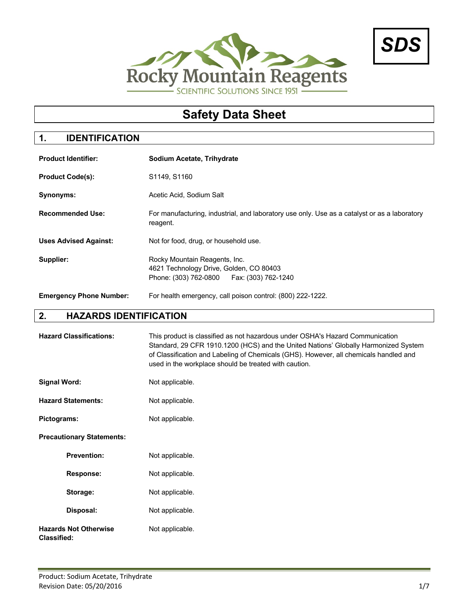



# **Safety Data Sheet**

## **1. IDENTIFICATION**

| <b>Product Identifier:</b>     | Sodium Acetate, Trihydrate                                                                                              |
|--------------------------------|-------------------------------------------------------------------------------------------------------------------------|
| <b>Product Code(s):</b>        | S1149, S1160                                                                                                            |
| <b>Synonyms:</b>               | Acetic Acid, Sodium Salt                                                                                                |
| <b>Recommended Use:</b>        | For manufacturing, industrial, and laboratory use only. Use as a catalyst or as a laboratory<br>reagent.                |
| <b>Uses Advised Against:</b>   | Not for food, drug, or household use.                                                                                   |
| Supplier:                      | Rocky Mountain Reagents, Inc.<br>4621 Technology Drive, Golden, CO 80403<br>Phone: (303) 762-0800   Fax: (303) 762-1240 |
| <b>Emergency Phone Number:</b> | For health emergency, call poison control: (800) 222-1222.                                                              |

## **2. HAZARDS IDENTIFICATION**

| <b>Hazard Classifications:</b>                     | This product is classified as not hazardous under OSHA's Hazard Communication<br>Standard, 29 CFR 1910.1200 (HCS) and the United Nations' Globally Harmonized System<br>of Classification and Labeling of Chemicals (GHS). However, all chemicals handled and<br>used in the workplace should be treated with caution. |
|----------------------------------------------------|------------------------------------------------------------------------------------------------------------------------------------------------------------------------------------------------------------------------------------------------------------------------------------------------------------------------|
| <b>Signal Word:</b>                                | Not applicable.                                                                                                                                                                                                                                                                                                        |
| <b>Hazard Statements:</b>                          | Not applicable.                                                                                                                                                                                                                                                                                                        |
| Pictograms:                                        | Not applicable.                                                                                                                                                                                                                                                                                                        |
| <b>Precautionary Statements:</b>                   |                                                                                                                                                                                                                                                                                                                        |
| <b>Prevention:</b>                                 | Not applicable.                                                                                                                                                                                                                                                                                                        |
| <b>Response:</b>                                   | Not applicable.                                                                                                                                                                                                                                                                                                        |
| Storage:                                           | Not applicable.                                                                                                                                                                                                                                                                                                        |
| Disposal:                                          | Not applicable.                                                                                                                                                                                                                                                                                                        |
| <b>Hazards Not Otherwise</b><br><b>Classified:</b> | Not applicable.                                                                                                                                                                                                                                                                                                        |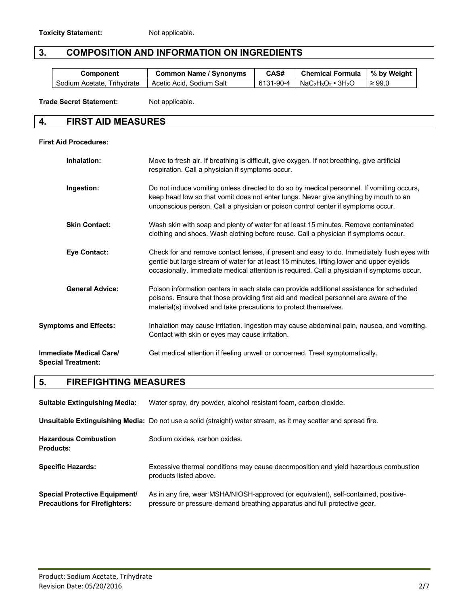#### **3. COMPOSITION AND INFORMATION ON INGREDIENTS**

| Component                  | <b>Common Name / Synonyms</b> | CAS# | Chemical Formula   % by Weight |             |
|----------------------------|-------------------------------|------|--------------------------------|-------------|
| Sodium Acetate, Trihydrate | Acetic Acid, Sodium Salt      |      | 6131-90-4   NaC2H3O2 • 3H2O    | $\geq 99.0$ |

**Trade Secret Statement:** Not applicable.

#### **4. FIRST AID MEASURES**

#### **First Aid Procedures:**

| Inhalation:                                                 | Move to fresh air. If breathing is difficult, give oxygen. If not breathing, give artificial<br>respiration. Call a physician if symptoms occur.                                                                                                                                       |
|-------------------------------------------------------------|----------------------------------------------------------------------------------------------------------------------------------------------------------------------------------------------------------------------------------------------------------------------------------------|
| Ingestion:                                                  | Do not induce vomiting unless directed to do so by medical personnel. If vomiting occurs,<br>keep head low so that vomit does not enter lungs. Never give anything by mouth to an<br>unconscious person. Call a physician or poison control center if symptoms occur.                  |
| <b>Skin Contact:</b>                                        | Wash skin with soap and plenty of water for at least 15 minutes. Remove contaminated<br>clothing and shoes. Wash clothing before reuse. Call a physician if symptoms occur.                                                                                                            |
| <b>Eye Contact:</b>                                         | Check for and remove contact lenses, if present and easy to do. Immediately flush eyes with<br>gentle but large stream of water for at least 15 minutes, lifting lower and upper eyelids<br>occasionally. Immediate medical attention is required. Call a physician if symptoms occur. |
| <b>General Advice:</b>                                      | Poison information centers in each state can provide additional assistance for scheduled<br>poisons. Ensure that those providing first aid and medical personnel are aware of the<br>material(s) involved and take precautions to protect themselves.                                  |
| <b>Symptoms and Effects:</b>                                | Inhalation may cause irritation. Ingestion may cause abdominal pain, nausea, and vomiting.<br>Contact with skin or eyes may cause irritation.                                                                                                                                          |
| <b>Immediate Medical Care/</b><br><b>Special Treatment:</b> | Get medical attention if feeling unwell or concerned. Treat symptomatically.                                                                                                                                                                                                           |

#### **5. FIREFIGHTING MEASURES**

| <b>Suitable Extinguishing Media:</b>                                         | Water spray, dry powder, alcohol resistant foam, carbon dioxide.                                                                                                 |
|------------------------------------------------------------------------------|------------------------------------------------------------------------------------------------------------------------------------------------------------------|
|                                                                              | Unsuitable Extinguishing Media: Do not use a solid (straight) water stream, as it may scatter and spread fire.                                                   |
| <b>Hazardous Combustion</b><br><b>Products:</b>                              | Sodium oxides, carbon oxides,                                                                                                                                    |
| <b>Specific Hazards:</b>                                                     | Excessive thermal conditions may cause decomposition and yield hazardous combustion<br>products listed above.                                                    |
| <b>Special Protective Equipment/</b><br><b>Precautions for Firefighters:</b> | As in any fire, wear MSHA/NIOSH-approved (or equivalent), self-contained, positive-<br>pressure or pressure-demand breathing apparatus and full protective gear. |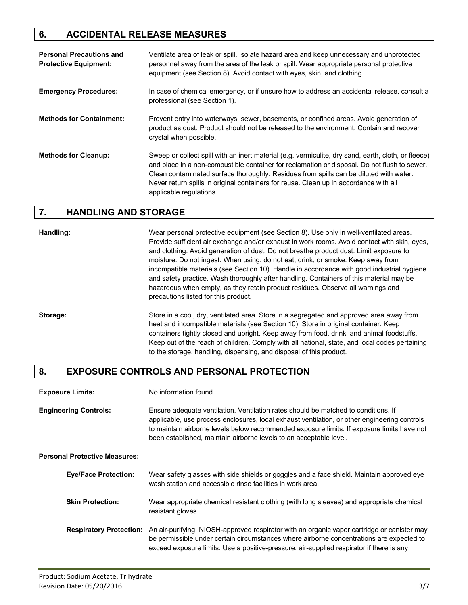#### **6. ACCIDENTAL RELEASE MEASURES**

| <b>Personal Precautions and</b><br><b>Protective Equipment:</b> | Ventilate area of leak or spill. Isolate hazard area and keep unnecessary and unprotected<br>personnel away from the area of the leak or spill. Wear appropriate personal protective<br>equipment (see Section 8). Avoid contact with eyes, skin, and clothing.                                                                                                                                                   |
|-----------------------------------------------------------------|-------------------------------------------------------------------------------------------------------------------------------------------------------------------------------------------------------------------------------------------------------------------------------------------------------------------------------------------------------------------------------------------------------------------|
| <b>Emergency Procedures:</b>                                    | In case of chemical emergency, or if unsure how to address an accidental release, consult a<br>professional (see Section 1).                                                                                                                                                                                                                                                                                      |
| <b>Methods for Containment:</b>                                 | Prevent entry into waterways, sewer, basements, or confined areas. Avoid generation of<br>product as dust. Product should not be released to the environment. Contain and recover<br>crystal when possible.                                                                                                                                                                                                       |
| <b>Methods for Cleanup:</b>                                     | Sweep or collect spill with an inert material (e.g. vermiculite, dry sand, earth, cloth, or fleece)<br>and place in a non-combustible container for reclamation or disposal. Do not flush to sewer.<br>Clean contaminated surface thoroughly. Residues from spills can be diluted with water.<br>Never return spills in original containers for reuse. Clean up in accordance with all<br>applicable regulations. |

#### **7. HANDLING AND STORAGE**

**Handling:** Wear personal protective equipment (see Section 8). Use only in well-ventilated areas. Provide sufficient air exchange and/or exhaust in work rooms. Avoid contact with skin, eyes, and clothing. Avoid generation of dust. Do not breathe product dust. Limit exposure to moisture. Do not ingest. When using, do not eat, drink, or smoke. Keep away from incompatible materials (see Section 10). Handle in accordance with good industrial hygiene and safety practice. Wash thoroughly after handling. Containers of this material may be hazardous when empty, as they retain product residues. Observe all warnings and precautions listed for this product.

**Storage:** Store in a cool, dry, ventilated area. Store in a segregated and approved area away from heat and incompatible materials (see Section 10). Store in original container. Keep containers tightly closed and upright. Keep away from food, drink, and animal foodstuffs. Keep out of the reach of children. Comply with all national, state, and local codes pertaining to the storage, handling, dispensing, and disposal of this product.

#### **8. EXPOSURE CONTROLS AND PERSONAL PROTECTION**

**Engineering Controls:** Ensure adequate ventilation. Ventilation rates should be matched to conditions. If applicable, use process enclosures, local exhaust ventilation, or other engineering controls to maintain airborne levels below recommended exposure limits. If exposure limits have not been established, maintain airborne levels to an acceptable level.

**Personal Protective Measures:**

| <b>Eye/Face Protection:</b> | Wear safety glasses with side shields or goggles and a face shield. Maintain approved eye<br>wash station and accessible rinse facilities in work area.                                                                                                                                                     |
|-----------------------------|-------------------------------------------------------------------------------------------------------------------------------------------------------------------------------------------------------------------------------------------------------------------------------------------------------------|
| <b>Skin Protection:</b>     | Wear appropriate chemical resistant clothing (with long sleeves) and appropriate chemical<br>resistant gloves.                                                                                                                                                                                              |
|                             | Respiratory Protection: An air-purifying, NIOSH-approved respirator with an organic vapor cartridge or canister may<br>be permissible under certain circumstances where airborne concentrations are expected to<br>exceed exposure limits. Use a positive-pressure, air-supplied respirator if there is any |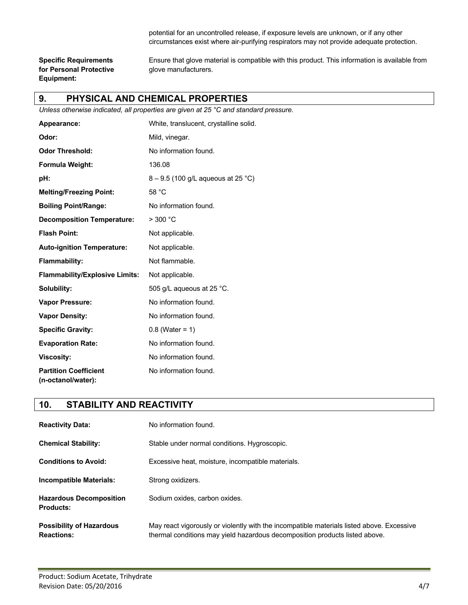potential for an uncontrolled release, if exposure levels are unknown, or if any other circumstances exist where air-purifying respirators may not provide adequate protection.

**for Personal Protective glove manufacturers. Equipment:**

**Specific Requirements** Ensure that glove material is compatible with this product. This information is available from

#### **9. PHYSICAL AND CHEMICAL PROPERTIES**

*Unless otherwise indicated, all properties are given at 25 °C and standard pressure.*

| Appearance:                                        | White, translucent, crystalline solid. |
|----------------------------------------------------|----------------------------------------|
| Odor:                                              | Mild, vinegar.                         |
| <b>Odor Threshold:</b>                             | No information found.                  |
| Formula Weight:                                    | 136.08                                 |
| pH:                                                | $8 - 9.5$ (100 g/L aqueous at 25 °C)   |
| <b>Melting/Freezing Point:</b>                     | 58 °C                                  |
| <b>Boiling Point/Range:</b>                        | No information found.                  |
| <b>Decomposition Temperature:</b>                  | > 300 °C                               |
| <b>Flash Point:</b>                                | Not applicable.                        |
| <b>Auto-ignition Temperature:</b>                  | Not applicable.                        |
| Flammability:                                      | Not flammable.                         |
| <b>Flammability/Explosive Limits:</b>              | Not applicable.                        |
| Solubility:                                        | 505 g/L aqueous at 25 $^{\circ}$ C.    |
| <b>Vapor Pressure:</b>                             | No information found.                  |
| <b>Vapor Density:</b>                              | No information found.                  |
| <b>Specific Gravity:</b>                           | $0.8$ (Water = 1)                      |
| <b>Evaporation Rate:</b>                           | No information found.                  |
| <b>Viscosity:</b>                                  | No information found.                  |
| <b>Partition Coefficient</b><br>(n-octanol/water): | No information found.                  |

#### **10. STABILITY AND REACTIVITY**

| <b>Reactivity Data:</b>                              | No information found.                                                                                                                                                    |
|------------------------------------------------------|--------------------------------------------------------------------------------------------------------------------------------------------------------------------------|
| <b>Chemical Stability:</b>                           | Stable under normal conditions. Hygroscopic.                                                                                                                             |
| <b>Conditions to Avoid:</b>                          | Excessive heat, moisture, incompatible materials.                                                                                                                        |
| Incompatible Materials:                              | Strong oxidizers.                                                                                                                                                        |
| <b>Hazardous Decomposition</b><br><b>Products:</b>   | Sodium oxides, carbon oxides.                                                                                                                                            |
| <b>Possibility of Hazardous</b><br><b>Reactions:</b> | May react vigorously or violently with the incompatible materials listed above. Excessive<br>thermal conditions may yield hazardous decomposition products listed above. |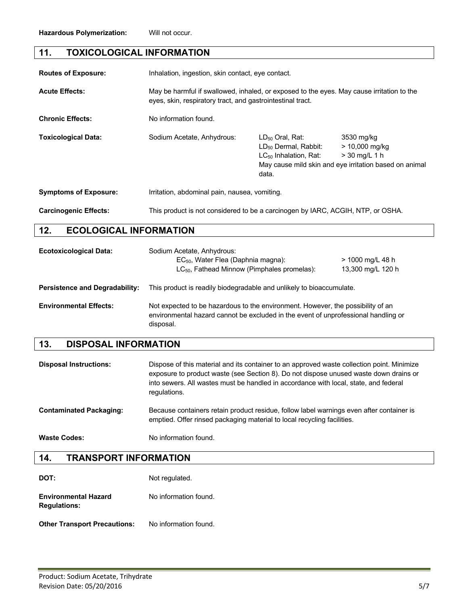## **11. TOXICOLOGICAL INFORMATION**

| <b>Routes of Exposure:</b>           | Inhalation, ingestion, skin contact, eye contact.                                                                                                       |                                                                                                 |                                                                                                             |
|--------------------------------------|---------------------------------------------------------------------------------------------------------------------------------------------------------|-------------------------------------------------------------------------------------------------|-------------------------------------------------------------------------------------------------------------|
| <b>Acute Effects:</b>                | May be harmful if swallowed, inhaled, or exposed to the eyes. May cause irritation to the<br>eyes, skin, respiratory tract, and gastrointestinal tract. |                                                                                                 |                                                                                                             |
| <b>Chronic Effects:</b>              | No information found.                                                                                                                                   |                                                                                                 |                                                                                                             |
| <b>Toxicological Data:</b>           | Sodium Acetate, Anhydrous:                                                                                                                              | $LD_{50}$ Oral, Rat:<br>LD <sub>50</sub> Dermal, Rabbit:<br>$LC_{50}$ Inhalation, Rat:<br>data. | 3530 mg/kg<br>$> 10,000$ mg/kg<br>$>$ 30 mg/L 1 h<br>May cause mild skin and eye irritation based on animal |
| <b>Symptoms of Exposure:</b>         | Irritation, abdominal pain, nausea, vomiting.                                                                                                           |                                                                                                 |                                                                                                             |
| <b>Carcinogenic Effects:</b>         | This product is not considered to be a carcinogen by IARC, ACGIH, NTP, or OSHA.                                                                         |                                                                                                 |                                                                                                             |
| 12.<br><b>ECOLOGICAL INFORMATION</b> |                                                                                                                                                         |                                                                                                 |                                                                                                             |

| <b>Ecotoxicological Data:</b>         | Sodium Acetate, Anhydrous:<br>$EC_{50}$ , Water Flea (Daphnia magna):<br>$LC_{50}$ , Fathead Minnow (Pimphales promelas):                                                          | > 1000 mg/L 48 h<br>13,300 mg/L 120 h |
|---------------------------------------|------------------------------------------------------------------------------------------------------------------------------------------------------------------------------------|---------------------------------------|
| <b>Persistence and Degradability:</b> | This product is readily biodegradable and unlikely to bioaccumulate.                                                                                                               |                                       |
| <b>Environmental Effects:</b>         | Not expected to be hazardous to the environment. However, the possibility of an<br>environmental hazard cannot be excluded in the event of unprofessional handling or<br>disposal. |                                       |

# **13. DISPOSAL INFORMATION**

| <b>Disposal Instructions:</b>  | Dispose of this material and its container to an approved waste collection point. Minimize<br>exposure to product waste (see Section 8). Do not dispose unused waste down drains or<br>into sewers. All wastes must be handled in accordance with local, state, and federal<br>regulations. |
|--------------------------------|---------------------------------------------------------------------------------------------------------------------------------------------------------------------------------------------------------------------------------------------------------------------------------------------|
| <b>Contaminated Packaging:</b> | Because containers retain product residue, follow label warnings even after container is<br>emptied. Offer rinsed packaging material to local recycling facilities.                                                                                                                         |
| <b>Waste Codes:</b>            | No information found.                                                                                                                                                                                                                                                                       |

#### **14. TRANSPORT INFORMATION**

| DOT:                                               | Not regulated.        |
|----------------------------------------------------|-----------------------|
| <b>Environmental Hazard</b><br><b>Regulations:</b> | No information found. |

**Other Transport Precautions:** No information found.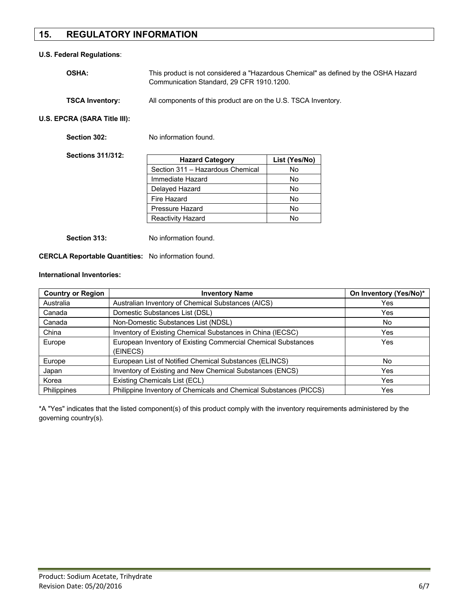#### **15. REGULATORY INFORMATION**

#### **U.S. Federal Regulations**:

| <b>OSHA:</b>           | This product is not considered a "Hazardous Chemical" as defined by the OSHA Hazard<br>Communication Standard, 29 CFR 1910.1200. |
|------------------------|----------------------------------------------------------------------------------------------------------------------------------|
| <b>TSCA Inventory:</b> | All components of this product are on the U.S. TSCA Inventory.                                                                   |

**U.S. EPCRA (SARA Title III):**

| Section 302:             | No information found.            |               |
|--------------------------|----------------------------------|---------------|
| <b>Sections 311/312:</b> | <b>Hazard Category</b>           | List (Yes/No) |
|                          | Section 311 - Hazardous Chemical | No            |
|                          | Immediate Hazard                 | No            |
|                          | Delayed Hazard                   | No            |
|                          | Fire Hazard                      | No            |
|                          | Pressure Hazard                  | No            |
|                          | <b>Reactivity Hazard</b>         | No            |
|                          |                                  |               |

**Section 313:** No information found.

**CERCLA Reportable Quantities:** No information found.

#### **International Inventories:**

| <b>Country or Region</b> | <b>Inventory Name</b>                                             | On Inventory (Yes/No)* |
|--------------------------|-------------------------------------------------------------------|------------------------|
| Australia                | Australian Inventory of Chemical Substances (AICS)                | Yes                    |
| Canada                   | Domestic Substances List (DSL)                                    | Yes                    |
| Canada                   | Non-Domestic Substances List (NDSL)                               | No                     |
| China                    | Inventory of Existing Chemical Substances in China (IECSC)        | Yes                    |
| Europe                   | European Inventory of Existing Commercial Chemical Substances     | Yes                    |
|                          | (EINECS)                                                          |                        |
| Europe                   | European List of Notified Chemical Substances (ELINCS)            | No.                    |
| Japan                    | Inventory of Existing and New Chemical Substances (ENCS)          | Yes                    |
| Korea                    | Existing Chemicals List (ECL)                                     | Yes                    |
| <b>Philippines</b>       | Philippine Inventory of Chemicals and Chemical Substances (PICCS) | Yes                    |

\*A "Yes" indicates that the listed component(s) of this product comply with the inventory requirements administered by the governing country(s).